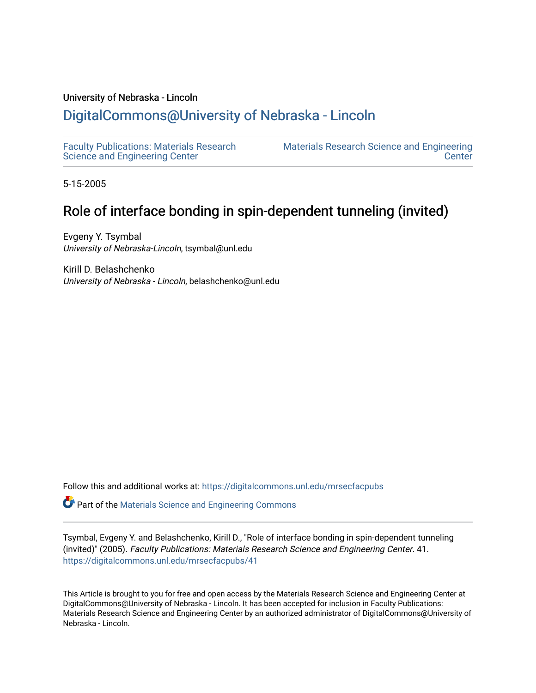# University of Nebraska - Lincoln

# [DigitalCommons@University of Nebraska - Lincoln](https://digitalcommons.unl.edu/)

[Faculty Publications: Materials Research](https://digitalcommons.unl.edu/mrsecfacpubs)  [Science and Engineering Center](https://digitalcommons.unl.edu/mrsecfacpubs) 

[Materials Research Science and Engineering](https://digitalcommons.unl.edu/materialsresearchscieeng)  **Center** 

5-15-2005

# Role of interface bonding in spin-dependent tunneling (invited)

Evgeny Y. Tsymbal University of Nebraska-Lincoln, tsymbal@unl.edu

Kirill D. Belashchenko University of Nebraska - Lincoln, belashchenko@unl.edu

Follow this and additional works at: [https://digitalcommons.unl.edu/mrsecfacpubs](https://digitalcommons.unl.edu/mrsecfacpubs?utm_source=digitalcommons.unl.edu%2Fmrsecfacpubs%2F41&utm_medium=PDF&utm_campaign=PDFCoverPages) 

Part of the [Materials Science and Engineering Commons](http://network.bepress.com/hgg/discipline/285?utm_source=digitalcommons.unl.edu%2Fmrsecfacpubs%2F41&utm_medium=PDF&utm_campaign=PDFCoverPages) 

Tsymbal, Evgeny Y. and Belashchenko, Kirill D., "Role of interface bonding in spin-dependent tunneling (invited)" (2005). Faculty Publications: Materials Research Science and Engineering Center. 41. [https://digitalcommons.unl.edu/mrsecfacpubs/41](https://digitalcommons.unl.edu/mrsecfacpubs/41?utm_source=digitalcommons.unl.edu%2Fmrsecfacpubs%2F41&utm_medium=PDF&utm_campaign=PDFCoverPages) 

This Article is brought to you for free and open access by the Materials Research Science and Engineering Center at DigitalCommons@University of Nebraska - Lincoln. It has been accepted for inclusion in Faculty Publications: Materials Research Science and Engineering Center by an authorized administrator of DigitalCommons@University of Nebraska - Lincoln.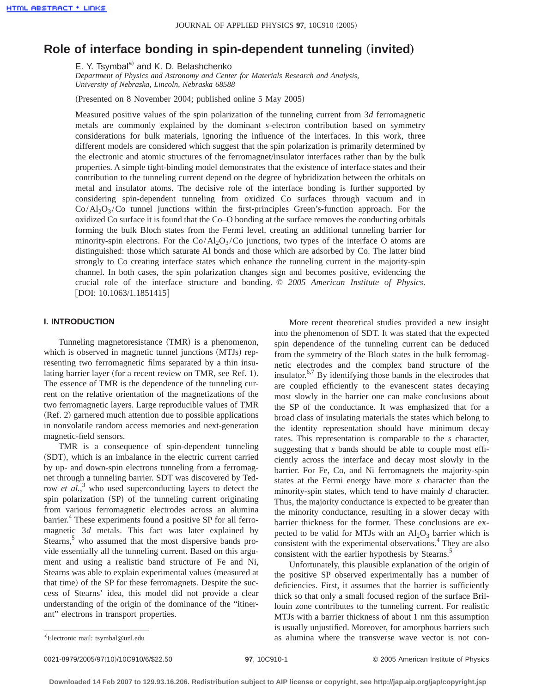# **Role of interface bonding in spin-dependent tunneling (invited)**

E. Y. Tsymbal<sup>a)</sup> and K. D. Belashchenko

*Department of Physics and Astronomy and Center for Materials Research and Analysis, University of Nebraska, Lincoln, Nebraska 68588*

(Presented on 8 November 2004; published online 5 May 2005)

Measured positive values of the spin polarization of the tunneling current from 3*d* ferromagnetic metals are commonly explained by the dominant *s*-electron contribution based on symmetry considerations for bulk materials, ignoring the influence of the interfaces. In this work, three different models are considered which suggest that the spin polarization is primarily determined by the electronic and atomic structures of the ferromagnet/insulator interfaces rather than by the bulk properties. A simple tight-binding model demonstrates that the existence of interface states and their contribution to the tunneling current depend on the degree of hybridization between the orbitals on metal and insulator atoms. The decisive role of the interface bonding is further supported by considering spin-dependent tunneling from oxidized Co surfaces through vacuum and in  $Co/Al_2O_3/Co$  tunnel junctions within the first-principles Green's-function approach. For the oxidized Co surface it is found that the Co–O bonding at the surface removes the conducting orbitals forming the bulk Bloch states from the Fermi level, creating an additional tunneling barrier for minority-spin electrons. For the  $Co/Al_2O_3/Co$  junctions, two types of the interface O atoms are distinguished: those which saturate Al bonds and those which are adsorbed by Co. The latter bind strongly to Co creating interface states which enhance the tunneling current in the majority-spin channel. In both cases, the spin polarization changes sign and becomes positive, evidencing the crucial role of the interface structure and bonding. © *2005 American Institute of Physics*.  $[$ DOI: 10.1063/1.1851415]

## **I. INTRODUCTION**

Tunneling magnetoresistance (TMR) is a phenomenon, which is observed in magnetic tunnel junctions  $(MTJs)$  representing two ferromagnetic films separated by a thin insulating barrier layer (for a recent review on TMR, see Ref. 1). The essence of TMR is the dependence of the tunneling current on the relative orientation of the magnetizations of the two ferromagnetic layers. Large reproducible values of TMR  $(Ref. 2)$  garnered much attention due to possible applications in nonvolatile random access memories and next-generation magnetic-field sensors.

TMR is a consequence of spin-dependent tunneling (SDT), which is an imbalance in the electric current carried by up- and down-spin electrons tunneling from a ferromagnet through a tunneling barrier. SDT was discovered by Tedrow *et al.*,<sup>3</sup> who used superconducting layers to detect the spin polarization (SP) of the tunneling current originating from various ferromagnetic electrodes across an alumina barrier.<sup>4</sup> These experiments found a positive SP for all ferromagnetic 3*d* metals. This fact was later explained by Stearns, $5$  who assumed that the most dispersive bands provide essentially all the tunneling current. Based on this argument and using a realistic band structure of Fe and Ni, Stearns was able to explain experimental values (measured at that time) of the SP for these ferromagnets. Despite the success of Stearns' idea, this model did not provide a clear understanding of the origin of the dominance of the "itinerant" electrons in transport properties.

More recent theoretical studies provided a new insight into the phenomenon of SDT. It was stated that the expected spin dependence of the tunneling current can be deduced from the symmetry of the Bloch states in the bulk ferromagnetic electrodes and the complex band structure of the insulator. $6,7$  By identifying those bands in the electrodes that are coupled efficiently to the evanescent states decaying most slowly in the barrier one can make conclusions about the SP of the conductance. It was emphasized that for a broad class of insulating materials the states which belong to the identity representation should have minimum decay rates. This representation is comparable to the *s* character, suggesting that *s* bands should be able to couple most efficiently across the interface and decay most slowly in the barrier. For Fe, Co, and Ni ferromagnets the majority-spin states at the Fermi energy have more *s* character than the minority-spin states, which tend to have mainly *d* character. Thus, the majority conductance is expected to be greater than the minority conductance, resulting in a slower decay with barrier thickness for the former. These conclusions are expected to be valid for MTJs with an  $Al_2O_3$  barrier which is consistent with the experimental observations.<sup>4</sup> They are also consistent with the earlier hypothesis by Stearns.<sup>5</sup>

Unfortunately, this plausible explanation of the origin of the positive SP observed experimentally has a number of deficiencies. First, it assumes that the barrier is sufficiently thick so that only a small focused region of the surface Brillouin zone contributes to the tunneling current. For realistic MTJs with a barrier thickness of about 1 nm this assumption is usually unjustified. Moreover, for amorphous barriers such as alumina where the transverse wave vector is not con-

a)Electronic mail: tsymbal@unl.edu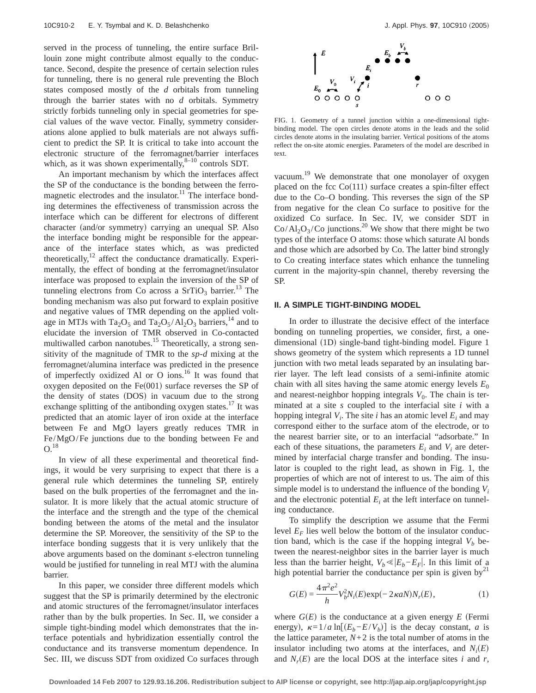served in the process of tunneling, the entire surface Brillouin zone might contribute almost equally to the conductance. Second, despite the presence of certain selection rules for tunneling, there is no general rule preventing the Bloch states composed mostly of the *d* orbitals from tunneling through the barrier states with no *d* orbitals. Symmetry strictly forbids tunneling only in special geometries for special values of the wave vector. Finally, symmetry considerations alone applied to bulk materials are not always sufficient to predict the SP. It is critical to take into account the electronic structure of the ferromagnet/barrier interfaces which, as it was shown experimentally, $8-10$  controls SDT.

An important mechanism by which the interfaces affect the SP of the conductance is the bonding between the ferromagnetic electrodes and the insulator. $11$  The interface bonding determines the effectiveness of transmission across the interface which can be different for electrons of different character (and/or symmetry) carrying an unequal SP. Also the interface bonding might be responsible for the appearance of the interface states which, as was predicted theoretically, $12$  affect the conductance dramatically. Experimentally, the effect of bonding at the ferromagnet/insulator interface was proposed to explain the inversion of the SP of tunneling electrons from Co across a  $SrTiO<sub>3</sub>$  barrier.<sup>13</sup> The bonding mechanism was also put forward to explain positive and negative values of TMR depending on the applied voltage in MTJs with Ta<sub>2</sub>O<sub>5</sub> and Ta<sub>2</sub>O<sub>5</sub>/Al<sub>2</sub>O<sub>3</sub> barriers,<sup>14</sup> and to elucidate the inversion of TMR observed in Co-contacted multiwalled carbon nanotubes.<sup>15</sup> Theoretically, a strong sensitivity of the magnitude of TMR to the *sp*-*d* mixing at the ferromagnet/alumina interface was predicted in the presence of imperfectly oxidized Al or O ions.<sup>16</sup> It was found that oxygen deposited on the  $Fe(001)$  surface reverses the SP of the density of states (DOS) in vacuum due to the strong exchange splitting of the antibonding oxygen states.<sup>17</sup> It was predicted that an atomic layer of iron oxide at the interface between Fe and MgO layers greatly reduces TMR in Fe/MgO/Fe junctions due to the bonding between Fe and  $O.18$ 

In view of all these experimental and theoretical findings, it would be very surprising to expect that there is a general rule which determines the tunneling SP, entirely based on the bulk properties of the ferromagnet and the insulator. It is more likely that the actual atomic structure of the interface and the strength and the type of the chemical bonding between the atoms of the metal and the insulator determine the SP. Moreover, the sensitivity of the SP to the interface bonding suggests that it is very unlikely that the above arguments based on the dominant *s*-electron tunneling would be justified for tunneling in real MTJ with the alumina barrier.

In this paper, we consider three different models which suggest that the SP is primarily determined by the electronic and atomic structures of the ferromagnet/insulator interfaces rather than by the bulk properties. In Sec. II, we consider a simple tight-binding model which demonstrates that the interface potentials and hybridization essentially control the conductance and its transverse momentum dependence. In Sec. III, we discuss SDT from oxidized Co surfaces through



FIG. 1. Geometry of a tunnel junction within a one-dimensional tightbinding model. The open circles denote atoms in the leads and the solid circles denote atoms in the insulating barrier. Vertical positions of the atoms reflect the on-site atomic energies. Parameters of the model are described in text.

vacuum.<sup>19</sup> We demonstrate that one monolayer of oxygen placed on the fcc  $Co(111)$  surface creates a spin-filter effect due to the Co–O bonding. This reverses the sign of the SP from negative for the clean Co surface to positive for the oxidized Co surface. In Sec. IV, we consider SDT in  $Co/Al_2O_3/Co$  junctions.<sup>20</sup> We show that there might be two types of the interface O atoms: those which saturate Al bonds and those which are adsorbed by Co. The latter bind strongly to Co creating interface states which enhance the tunneling current in the majority-spin channel, thereby reversing the SP.

#### **II. A SIMPLE TIGHT-BINDING MODEL**

In order to illustrate the decisive effect of the interface bonding on tunneling properties, we consider, first, a onedimensional (1D) single-band tight-binding model. Figure 1 shows geometry of the system which represents a 1D tunnel junction with two metal leads separated by an insulating barrier layer. The left lead consists of a semi-infinite atomic chain with all sites having the same atomic energy levels  $E_0$ and nearest-neighbor hopping integrals  $V_0$ . The chain is terminated at a site *s* coupled to the interfacial site *i* with a hopping integral  $V_i$ . The site *i* has an atomic level  $E_i$  and may correspond either to the surface atom of the electrode, or to the nearest barrier site, or to an interfacial "adsorbate." In each of these situations, the parameters  $E_i$  and  $V_i$  are determined by interfacial charge transfer and bonding. The insulator is coupled to the right lead, as shown in Fig. 1, the properties of which are not of interest to us. The aim of this simple model is to understand the influence of the bonding *Vi* and the electronic potential  $E_i$  at the left interface on tunneling conductance.

To simplify the description we assume that the Fermi level  $E_F$  lies well below the bottom of the insulator conduction band, which is the case if the hopping integral  $V_b$  between the nearest-neighbor sites in the barrier layer is much less than the barrier height,  $V_b \ll |E_b - E_F|$ . In this limit of a high potential barrier the conductance per spin is given by<sup>21</sup>

$$
G(E) = \frac{4\pi^2 e^2}{h} V_b^2 N_i(E) \exp(-2\kappa a N) N_r(E),
$$
 (1)

where  $G(E)$  is the conductance at a given energy  $E$  (Fermi energy),  $\kappa = 1/a \ln[(E_b - E/V_b)]$  is the decay constant, *a* is the lattice parameter,  $N+2$  is the total number of atoms in the insulator including two atoms at the interfaces, and  $N_i(E)$ and  $N_r(E)$  are the local DOS at the interface sites *i* and *r*,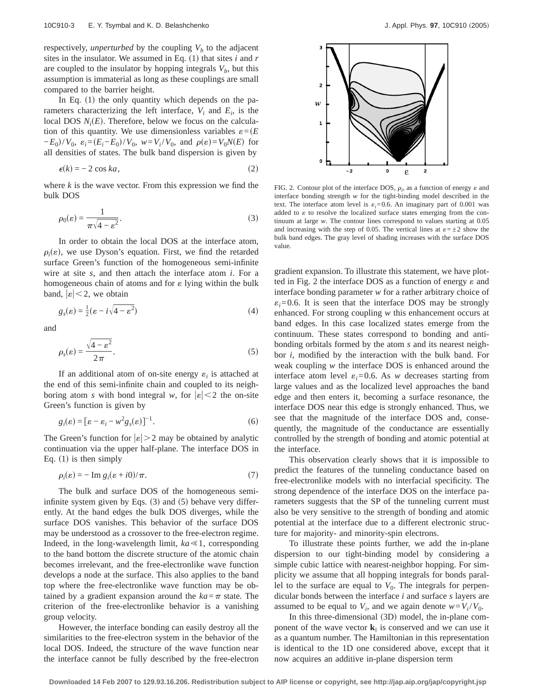respectively, *unperturbed* by the coupling  $V<sub>b</sub>$  to the adjacent sites in the insulator. We assumed in Eq.  $(1)$  that sites *i* and *r* are coupled to the insulator by hopping integrals  $V<sub>b</sub>$ , but this assumption is immaterial as long as these couplings are small compared to the barrier height.

In Eq.  $(1)$  the only quantity which depends on the parameters characterizing the left interface,  $V_i$  and  $E_i$ , is the local DOS  $N_i(E)$ . Therefore, below we focus on the calculation of this quantity. We use dimensionless variables  $\varepsilon = (E)$  $-E_0$ /*V*<sub>0</sub>,  $\varepsilon_i = (E_i - E_0)/V_0$ ,  $w = V_i/V_0$ , and  $\rho(\varepsilon) = V_0 N(E)$  for all densities of states. The bulk band dispersion is given by

$$
\epsilon(k) = -2 \cos ka,\tag{2}
$$

where *k* is the wave vector. From this expression we find the bulk DOS

$$
\rho_0(\varepsilon) = \frac{1}{\pi \sqrt{4 - \varepsilon^2}}.\tag{3}
$$

In order to obtain the local DOS at the interface atom,  $\rho_i(\varepsilon)$ , we use Dyson's equation. First, we find the retarded surface Green's function of the homogeneous semi-infinite wire at site *s*, and then attach the interface atom *i*. For a homogeneous chain of atoms and for  $\varepsilon$  lying within the bulk band,  $|\varepsilon|$  < 2, we obtain

$$
g_s(\varepsilon) = \frac{1}{2}(\varepsilon - i\sqrt{4 - \varepsilon^2})\tag{4}
$$

and

$$
\rho_s(\varepsilon) = \frac{\sqrt{4 - \varepsilon^2}}{2\pi}.
$$
\n(5)

If an additional atom of on-site energy  $\varepsilon_i$  is attached at the end of this semi-infinite chain and coupled to its neighboring atom *s* with bond integral *w*, for  $|\varepsilon| < 2$  the on-site Green's function is given by

$$
g_i(\varepsilon) = [\varepsilon - \varepsilon_i - w^2 g_s(\varepsilon)]^{-1}.
$$
 (6)

The Green's function for  $|\varepsilon| > 2$  may be obtained by analytic continuation via the upper half-plane. The interface DOS in Eq.  $(1)$  is then simply

$$
\rho_i(\varepsilon) = -\operatorname{Im} g_i(\varepsilon + i0)/\pi. \tag{7}
$$

The bulk and surface DOS of the homogeneous semiinfinite system given by Eqs.  $(3)$  and  $(5)$  behave very differently. At the band edges the bulk DOS diverges, while the surface DOS vanishes. This behavior of the surface DOS may be understood as a crossover to the free-electron regime. Indeed, in the long-wavelength limit,  $ka \ll 1$ , corresponding to the band bottom the discrete structure of the atomic chain becomes irrelevant, and the free-electronlike wave function develops a node at the surface. This also applies to the band top where the free-electronlike wave function may be obtained by a gradient expansion around the  $ka = \pi$  state. The criterion of the free-electronlike behavior is a vanishing group velocity.

However, the interface bonding can easily destroy all the similarities to the free-electron system in the behavior of the local DOS. Indeed, the structure of the wave function near the interface cannot be fully described by the free-electron



FIG. 2. Contour plot of the interface DOS,  $\rho_i$ , as a function of energy  $\varepsilon$  and interface bonding strength *w* for the tight-binding model described in the text. The interface atom level is  $\varepsilon_i = 0.6$ . An imaginary part of 0.001 was added to  $\varepsilon$  to resolve the localized surface states emerging from the continuum at large *w*. The contour lines correspond to values starting at 0.05 and increasing with the step of 0.05. The vertical lines at  $\varepsilon = \pm 2$  show the bulk band edges. The gray level of shading increases with the surface DOS value.

gradient expansion. To illustrate this statement, we have plotted in Fig. 2 the interface DOS as a function of energy  $\varepsilon$  and interface bonding parameter *w* for a rather arbitrary choice of  $\varepsilon_i = 0.6$ . It is seen that the interface DOS may be strongly enhanced. For strong coupling *w* this enhancement occurs at band edges. In this case localized states emerge from the continuum. These states correspond to bonding and antibonding orbitals formed by the atom *s* and its nearest neighbor *i*, modified by the interaction with the bulk band. For weak coupling *w* the interface DOS is enhanced around the interface atom level  $\varepsilon_i = 0.6$ . As *w* decreases starting from large values and as the localized level approaches the band edge and then enters it, becoming a surface resonance, the interface DOS near this edge is strongly enhanced. Thus, we see that the magnitude of the interface DOS and, consequently, the magnitude of the conductance are essentially controlled by the strength of bonding and atomic potential at the interface.

This observation clearly shows that it is impossible to predict the features of the tunneling conductance based on free-electronlike models with no interfacial specificity. The strong dependence of the interface DOS on the interface parameters suggests that the SP of the tunneling current must also be very sensitive to the strength of bonding and atomic potential at the interface due to a different electronic structure for majority- and minority-spin electrons.

To illustrate these points further, we add the in-plane dispersion to our tight-binding model by considering a simple cubic lattice with nearest-neighbor hopping. For simplicity we assume that all hopping integrals for bonds parallel to the surface are equal to  $V_0$ . The integrals for perpendicular bonds between the interface *i* and surface *s* layers are assumed to be equal to  $V_i$ , and we again denote  $w = V_i / V_0$ .

In this three-dimensional  $(3D)$  model, the in-plane component of the wave vector  $\mathbf{k}_{\parallel}$  is conserved and we can use it as a quantum number. The Hamiltonian in this representation is identical to the 1D one considered above, except that it now acquires an additive in-plane dispersion term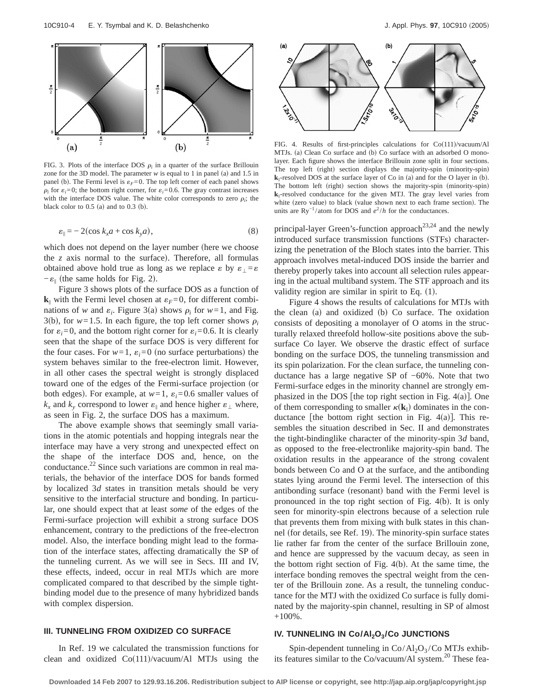

FIG. 3. Plots of the interface DOS  $\rho_i$  in a quarter of the surface Brillouin zone for the 3D model. The parameter  $w$  is equal to 1 in panel (a) and 1.5 in panel (b). The Fermi level is  $\varepsilon_F = 0$ . The top left corner of each panel shows  $\rho_i$  for  $\varepsilon_i = 0$ ; the bottom right corner, for  $\varepsilon_i = 0.6$ . The gray contrast increases with the interface DOS value. The white color corresponds to zero  $\rho_i$ ; the black color to  $0.5$  (a) and to  $0.3$  (b).

$$
\varepsilon_{\parallel} = -2(\cos k_x a + \cos k_y a), \tag{8}
$$

which does not depend on the layer number (here we choose the  $z$  axis normal to the surface). Therefore, all formulas obtained above hold true as long as we replace  $\varepsilon$  by  $\varepsilon_{\perp} = \varepsilon$  $-\varepsilon_{\parallel}$  (the same holds for Fig. 2).

Figure 3 shows plots of the surface DOS as a function of  $\mathbf{k}_{\parallel}$  with the Fermi level chosen at  $\varepsilon_F = 0$ , for different combinations of *w* and  $\varepsilon_i$ . Figure 3(a) shows  $\rho_i$  for  $w=1$ , and Fig. 3(b), for  $w=1.5$ . In each figure, the top left corner shows  $\rho_i$ for  $\varepsilon_i = 0$ , and the bottom right corner for  $\varepsilon_i = 0.6$ . It is clearly seen that the shape of the surface DOS is very different for the four cases. For  $w=1$ ,  $\varepsilon_i=0$  (no surface perturbations) the system behaves similar to the free-electron limit. However, in all other cases the spectral weight is strongly displaced toward one of the edges of the Fermi-surface projection (or both edges). For example, at  $w=1$ ,  $\varepsilon_i=0.6$  smaller values of  $k_x$  and  $k_y$  correspond to lower  $\varepsilon_{\parallel}$  and hence higher  $\varepsilon_{\perp}$  where, as seen in Fig. 2, the surface DOS has a maximum.

The above example shows that seemingly small variations in the atomic potentials and hopping integrals near the interface may have a very strong and unexpected effect on the shape of the interface DOS and, hence, on the conductance.<sup>22</sup> Since such variations are common in real materials, the behavior of the interface DOS for bands formed by localized 3*d* states in transition metals should be very sensitive to the interfacial structure and bonding. In particular, one should expect that at least *some* of the edges of the Fermi-surface projection will exhibit a strong surface DOS enhancement, contrary to the predictions of the free-electron model. Also, the interface bonding might lead to the formation of the interface states, affecting dramatically the SP of the tunneling current. As we will see in Secs. III and IV, these effects, indeed, occur in real MTJs which are more complicated compared to that described by the simple tightbinding model due to the presence of many hybridized bands with complex dispersion.

#### **III. TUNNELING FROM OXIDIZED CO SURFACE**

In Ref. 19 we calculated the transmission functions for clean and oxidized  $Co(111)/vacuum/Al$  MTJs using the



FIG. 4. Results of first-principles calculations for  $Co(111)/vacuum/Al$ MTJs. (a) Clean Co surface and (b) Co surface with an adsorbed O monolayer. Each figure shows the interface Brillouin zone split in four sections. The top left (right) section displays the majority-spin (minority-spin)  $k_{\parallel}$ -resolved DOS at the surface layer of Co in (a) and for the O layer in (b). The bottom left (right) section shows the majority-spin (minority-spin)  $k_{\parallel}$ -resolved conductance for the given MTJ. The gray level varies from white (zero value) to black (value shown next to each frame section). The units are Ry<sup>-1</sup>/atom for DOS and  $e^2/h$  for the conductances.

principal-layer Green's-function approach<sup>23,24</sup> and the newly introduced surface transmission functions (STFs) characterizing the penetration of the Bloch states into the barrier. This approach involves metal-induced DOS inside the barrier and thereby properly takes into account all selection rules appearing in the actual multiband system. The STF approach and its validity region are similar in spirit to Eq.  $(1)$ .

Figure 4 shows the results of calculations for MTJs with the clean  $(a)$  and oxidized  $(b)$  Co surface. The oxidation consists of depositing a monolayer of O atoms in the structurally relaxed threefold hollow-site positions above the subsurface Co layer. We observe the drastic effect of surface bonding on the surface DOS, the tunneling transmission and its spin polarization. For the clean surface, the tunneling conductance has a large negative SP of −60%. Note that two Fermi-surface edges in the minority channel are strongly emphasized in the DOS [the top right section in Fig.  $4(a)$ ]. One of them corresponding to smaller  $\kappa(\mathbf{k}_{\parallel})$  dominates in the conductance [the bottom right section in Fig. 4(a)]. This resembles the situation described in Sec. II and demonstrates the tight-bindinglike character of the minority-spin 3*d* band, as opposed to the free-electronlike majority-spin band. The oxidation results in the appearance of the strong covalent bonds between Co and O at the surface, and the antibonding states lying around the Fermi level. The intersection of this antibonding surface (resonant) band with the Fermi level is pronounced in the top right section of Fig.  $4(b)$ . It is only seen for minority-spin electrons because of a selection rule that prevents them from mixing with bulk states in this channel (for details, see Ref. 19). The minority-spin surface states lie rather far from the center of the surface Brillouin zone, and hence are suppressed by the vacuum decay, as seen in the bottom right section of Fig.  $4(b)$ . At the same time, the interface bonding removes the spectral weight from the center of the Brillouin zone. As a result, the tunneling conductance for the MTJ with the oxidized Co surface is fully dominated by the majority-spin channel, resulting in SP of almost  $+100\%$ .

## IV. TUNNELING IN Co/Al<sub>2</sub>O<sub>3</sub>/Co JUNCTIONS

Spin-dependent tunneling in  $Co/Al_2O_3/Co$  MTJs exhibits features similar to the Co/vacuum/Al system. $^{20}$  These fea-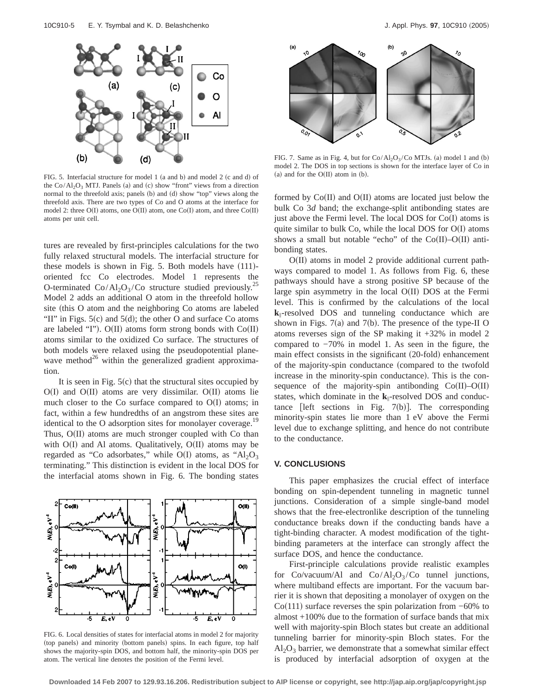

FIG. 5. Interfacial structure for model 1 (a and b) and model 2 (c and d) of the  $Co/Al_2O_3$  MTJ. Panels (a) and (c) show "front" views from a direction normal to the threefold axis; panels (b) and (d) show "top" views along the threefold axis. There are two types of Co and O atoms at the interface for model 2: three  $O(I)$  atoms, one  $O(II)$  atom, one  $Co(I)$  atom, and three  $Co(II)$ atoms per unit cell.

tures are revealed by first-principles calculations for the two fully relaxed structural models. The interfacial structure for these models is shown in Fig.  $5$ . Both models have  $(111)$ oriented fcc Co electrodes. Model 1 represents the O-terminated  $Co/Al_2O_3/Co$  structure studied previously.<sup>25</sup> Model 2 adds an additional O atom in the threefold hollow site (this O atom and the neighboring Co atoms are labeled "II" in Figs.  $5(c)$  and  $5(d)$ ; the other O and surface Co atoms are labeled "I"). O(II) atoms form strong bonds with  $Co(II)$ atoms similar to the oxidized Co surface. The structures of both models were relaxed using the pseudopotential planewave method $^{26}$  within the generalized gradient approximation.

It is seen in Fig.  $5(c)$  that the structural sites occupied by  $O(I)$  and  $O(II)$  atoms are very dissimilar.  $O(II)$  atoms lie much closer to the Co surface compared to  $O(I)$  atoms; in fact, within a few hundredths of an angstrom these sites are identical to the O adsorption sites for monolayer coverage.<sup>19</sup> Thus,  $O(II)$  atoms are much stronger coupled with Co than with  $O(I)$  and Al atoms. Qualitatively,  $O(II)$  atoms may be regarded as "Co adsorbates," while  $O(I)$  atoms, as "Al<sub>2</sub>O<sub>3</sub> terminating." This distinction is evident in the local DOS for the interfacial atoms shown in Fig. 6. The bonding states



FIG. 6. Local densities of states for interfacial atoms in model 2 for majority (top panels) and minority (bottom panels) spins. In each figure, top half shows the majority-spin DOS, and bottom half, the minority-spin DOS per atom. The vertical line denotes the position of the Fermi level.



FIG. 7. Same as in Fig. 4, but for  $Co/Al_2O_3/Co$  MTJs. (a) model 1 and (b) model 2. The DOS in top sections is shown for the interface layer of Co in (a) and for the  $O(II)$  atom in (b).

formed by  $Co(II)$  and  $O(II)$  atoms are located just below the bulk Co 3*d* band; the exchange-split antibonding states are just above the Fermi level. The local DOS for  $Co(I)$  atoms is quite similar to bulk Co, while the local DOS for  $O(I)$  atoms shows a small but notable "echo" of the  $Co(II)-O(II)$  antibonding states.

 $O(II)$  atoms in model 2 provide additional current pathways compared to model 1. As follows from Fig. 6, these pathways should have a strong positive SP because of the large spin asymmetry in the local  $O(II)$  DOS at the Fermi level. This is confirmed by the calculations of the local **k**i-resolved DOS and tunneling conductance which are shown in Figs.  $7(a)$  and  $7(b)$ . The presence of the type-II O atoms reverses sign of the SP making it +32% in model 2 compared to −70% in model 1. As seen in the figure, the main effect consists in the significant (20-fold) enhancement of the majority-spin conductance (compared to the twofold increase in the minority-spin conductance). This is the consequence of the majority-spin antibonding  $Co(II)-O(II)$ states, which dominate in the **k**i-resolved DOS and conductance [left sections in Fig.  $7(b)$ ]. The corresponding minority-spin states lie more than 1 eV above the Fermi level due to exchange splitting, and hence do not contribute to the conductance.

## **V. CONCLUSIONS**

This paper emphasizes the crucial effect of interface bonding on spin-dependent tunneling in magnetic tunnel junctions. Consideration of a simple single-band model shows that the free-electronlike description of the tunneling conductance breaks down if the conducting bands have a tight-binding character. A modest modification of the tightbinding parameters at the interface can strongly affect the surface DOS, and hence the conductance.

First-principle calculations provide realistic examples for  $Co/vacuum/Al$  and  $Co/Al_2O_3/Co$  tunnel junctions, where multiband effects are important. For the vacuum barrier it is shown that depositing a monolayer of oxygen on the  $Co(111)$  surface reverses the spin polarization from  $-60\%$  to almost +100% due to the formation of surface bands that mix well with majority-spin Bloch states but create an additional tunneling barrier for minority-spin Bloch states. For the  $Al_2O_3$  barrier, we demonstrate that a somewhat similar effect is produced by interfacial adsorption of oxygen at the

**Downloaded 14 Feb 2007 to 129.93.16.206. Redistribution subject to AIP license or copyright, see http://jap.aip.org/jap/copyright.jsp**